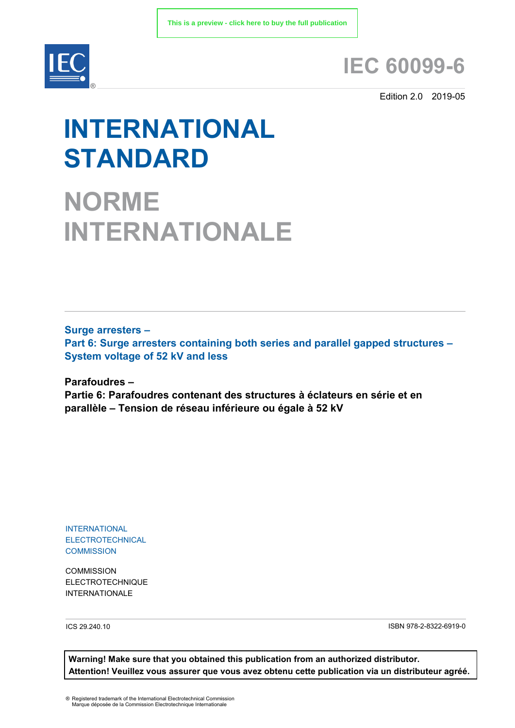

## **IEC 60099-6**

Edition 2.0 2019-05

# **INTERNATIONAL STANDARD**

**NORME INTERNATIONALE**

**Surge arresters – Part 6: Surge arresters containing both series and parallel gapped structures – System voltage of 52 kV and less**

**Parafoudres – Partie 6: Parafoudres contenant des structures à éclateurs en série et en parallèle – Tension de réseau inférieure ou égale à 52 kV**

INTERNATIONAL **ELECTROTECHNICAL COMMISSION** 

**COMMISSION** ELECTROTECHNIQUE INTERNATIONALE

ICS 29.240.10 ISBN 978-2-8322-6919-0

**Warning! Make sure that you obtained this publication from an authorized distributor. Attention! Veuillez vous assurer que vous avez obtenu cette publication via un distributeur agréé.**

® Registered trademark of the International Electrotechnical Commission Marque déposée de la Commission Electrotechnique Internationale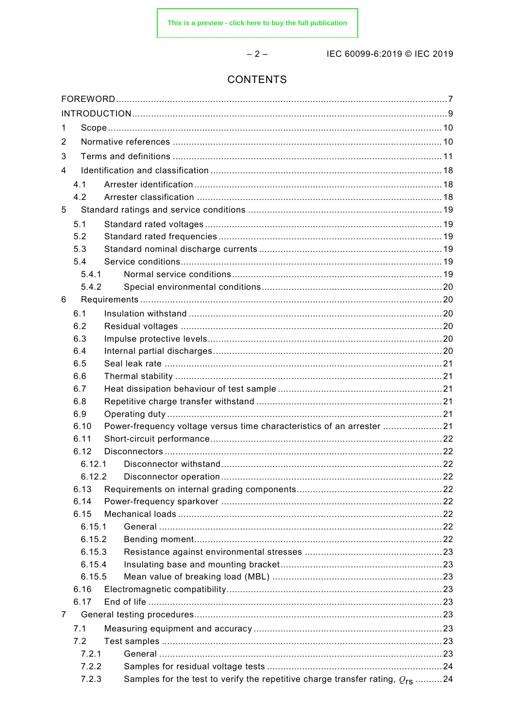$-2-$ 

IEC 60099-6:2019 © IEC 2019

### **CONTENTS**

| 1 |                  |  |                                                                                   |  |
|---|------------------|--|-----------------------------------------------------------------------------------|--|
| 2 |                  |  |                                                                                   |  |
| 3 |                  |  |                                                                                   |  |
| 4 |                  |  |                                                                                   |  |
|   | 4.1              |  |                                                                                   |  |
|   | 4.2              |  |                                                                                   |  |
| 5 |                  |  |                                                                                   |  |
|   | 5.1              |  |                                                                                   |  |
|   | 5.2              |  |                                                                                   |  |
|   | 5.3              |  |                                                                                   |  |
|   | 5.4              |  |                                                                                   |  |
|   | 5.4.1            |  |                                                                                   |  |
|   | 5.4.2            |  |                                                                                   |  |
| 6 |                  |  |                                                                                   |  |
|   | 6.1              |  |                                                                                   |  |
|   | 6.2              |  |                                                                                   |  |
|   | 6.3              |  |                                                                                   |  |
|   | 6.4              |  |                                                                                   |  |
|   | 6.5              |  |                                                                                   |  |
|   | 6.6              |  |                                                                                   |  |
|   | 6.7              |  |                                                                                   |  |
|   | 6.8              |  |                                                                                   |  |
|   | 6.9              |  |                                                                                   |  |
|   | 6.10             |  | Power-frequency voltage versus time characteristics of an arrester 21             |  |
|   | 6.11             |  |                                                                                   |  |
|   | 6.12             |  |                                                                                   |  |
|   | 6.12.1           |  |                                                                                   |  |
|   | 6.12.2           |  |                                                                                   |  |
|   | 6.13             |  |                                                                                   |  |
|   |                  |  |                                                                                   |  |
|   | 6.14             |  |                                                                                   |  |
|   | 6.15<br>6.15.1   |  |                                                                                   |  |
|   |                  |  |                                                                                   |  |
|   | 6.15.2           |  |                                                                                   |  |
|   | 6.15.3           |  |                                                                                   |  |
|   | 6.15.4<br>6.15.5 |  |                                                                                   |  |
|   | 6.16             |  |                                                                                   |  |
|   |                  |  |                                                                                   |  |
|   | 6.17             |  |                                                                                   |  |
| 7 |                  |  |                                                                                   |  |
|   | 7.1              |  |                                                                                   |  |
|   | 7.2              |  |                                                                                   |  |
|   | 7.2.1            |  |                                                                                   |  |
|   | 7.2.2            |  |                                                                                   |  |
|   | 7.2.3            |  | Samples for the test to verify the repetitive charge transfer rating, $Q_{rs}$ 24 |  |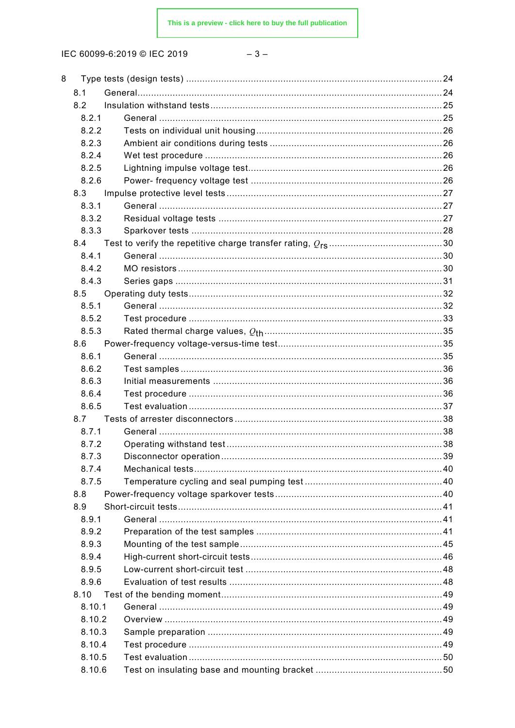| 8 |        |    |
|---|--------|----|
|   | 8.1    |    |
|   | 8.2    |    |
|   | 8.2.1  |    |
|   | 8.2.2  |    |
|   | 8.2.3  |    |
|   | 8.2.4  |    |
|   | 8.2.5  |    |
|   | 8.2.6  |    |
|   | 8.3    |    |
|   | 8.3.1  |    |
|   | 8.3.2  |    |
|   | 8.3.3  |    |
|   | 8.4    |    |
|   | 8.4.1  |    |
|   | 8.4.2  |    |
|   | 8.4.3  |    |
|   | 8.5    |    |
|   | 8.5.1  |    |
|   | 8.5.2  |    |
|   | 8.5.3  |    |
|   | 8.6    |    |
|   | 8.6.1  |    |
|   | 8.6.2  |    |
|   | 8.6.3  |    |
|   | 8.6.4  |    |
|   | 8.6.5  |    |
|   | 8.7    |    |
|   | 8.7.1  |    |
|   | 8.7.2  |    |
|   | 8.7.3  | 39 |
|   | 8.7.4  |    |
|   | 8.7.5  |    |
|   | 8.8    |    |
|   | 8.9    |    |
|   | 8.9.1  |    |
|   | 8.9.2  |    |
|   | 8.9.3  |    |
|   | 8.9.4  |    |
|   | 8.9.5  |    |
|   | 8.9.6  |    |
|   | 8.10   |    |
|   | 8.10.1 |    |
|   | 8.10.2 |    |
|   | 8.10.3 |    |
|   | 8.10.4 |    |
|   | 8.10.5 |    |
|   | 8.10.6 |    |
|   |        |    |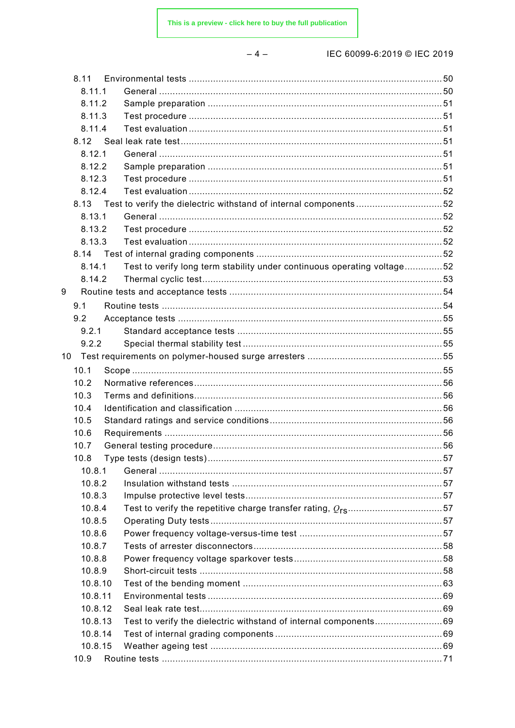$-4-$ 

| 8.11  |         |                                                                         |  |
|-------|---------|-------------------------------------------------------------------------|--|
|       | 8.11.1  |                                                                         |  |
|       | 8.11.2  |                                                                         |  |
|       | 8.11.3  |                                                                         |  |
|       | 8.11.4  |                                                                         |  |
|       |         |                                                                         |  |
|       | 8.12.1  |                                                                         |  |
|       | 8.12.2  |                                                                         |  |
|       | 8.12.3  |                                                                         |  |
|       | 8.12.4  |                                                                         |  |
|       |         | 8.13 Test to verify the dielectric withstand of internal components52   |  |
|       | 8.13.1  |                                                                         |  |
|       | 8.13.2  |                                                                         |  |
|       | 8.13.3  |                                                                         |  |
|       |         |                                                                         |  |
|       | 8.14.1  | Test to verify long term stability under continuous operating voltage52 |  |
|       | 8.14.2  |                                                                         |  |
| 9     |         |                                                                         |  |
| 9.1   |         |                                                                         |  |
| 9.2   |         |                                                                         |  |
| 9.2.1 |         |                                                                         |  |
| 9.2.2 |         |                                                                         |  |
| 10    |         |                                                                         |  |
| 10.1  |         |                                                                         |  |
| 10.2  |         |                                                                         |  |
| 10.3  |         |                                                                         |  |
| 10.4  |         |                                                                         |  |
| 10.5  |         |                                                                         |  |
| 10.6  |         |                                                                         |  |
| 10.7  |         |                                                                         |  |
| 10.8  |         |                                                                         |  |
|       | 10.8.1  |                                                                         |  |
|       | 10.8.2  |                                                                         |  |
|       | 10.8.3  |                                                                         |  |
|       | 10.8.4  |                                                                         |  |
|       | 10.8.5  |                                                                         |  |
|       | 10.8.6  |                                                                         |  |
|       | 10.8.7  |                                                                         |  |
|       | 10.8.8  |                                                                         |  |
|       | 10.8.9  |                                                                         |  |
|       | 10.8.10 |                                                                         |  |
|       | 10.8.11 |                                                                         |  |
|       | 10.8.12 |                                                                         |  |
|       | 10.8.13 | Test to verify the dielectric withstand of internal components69        |  |
|       | 10.8.14 |                                                                         |  |
|       | 10.8.15 |                                                                         |  |
| 10.9  |         |                                                                         |  |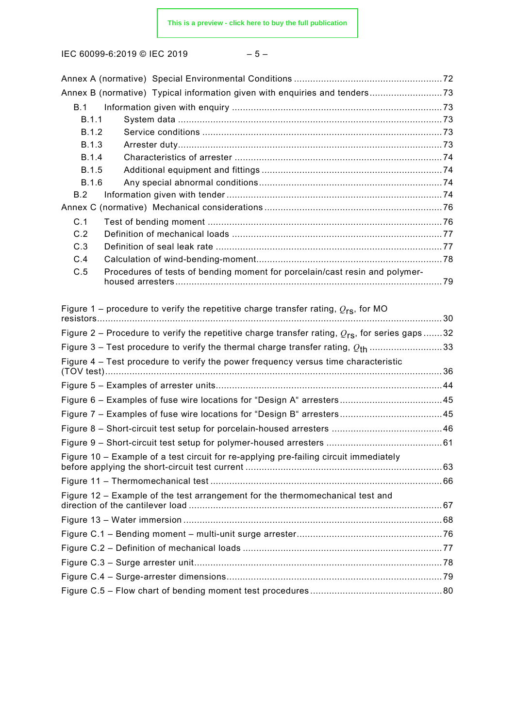|--|--|--|--|

|              | Annex B (normative) Typical information given with enquiries and tenders73                                 |  |
|--------------|------------------------------------------------------------------------------------------------------------|--|
| B.1          |                                                                                                            |  |
| B.1.1        |                                                                                                            |  |
| B.1.2        |                                                                                                            |  |
| <b>B.1.3</b> |                                                                                                            |  |
| <b>B.1.4</b> |                                                                                                            |  |
| <b>B.1.5</b> |                                                                                                            |  |
| <b>B.1.6</b> |                                                                                                            |  |
| B.2          |                                                                                                            |  |
|              |                                                                                                            |  |
| C.1          |                                                                                                            |  |
| C.2          |                                                                                                            |  |
| C.3          |                                                                                                            |  |
| C.4          |                                                                                                            |  |
| C.5          | Procedures of tests of bending moment for porcelain/cast resin and polymer-                                |  |
|              |                                                                                                            |  |
|              |                                                                                                            |  |
|              | Figure 1 – procedure to verify the repetitive charge transfer rating, $Q_{rs}$ , for MO                    |  |
|              | Figure 2 – Procedure to verify the repetitive charge transfer rating, $Q_{\text{rs}}$ , for series gaps 32 |  |
|              |                                                                                                            |  |
|              | Figure 3 – Test procedure to verify the thermal charge transfer rating, $Q_{\text{th}}$ 33                 |  |
|              | Figure 4 – Test procedure to verify the power frequency versus time characteristic                         |  |
|              |                                                                                                            |  |
|              |                                                                                                            |  |
|              |                                                                                                            |  |
|              |                                                                                                            |  |
|              |                                                                                                            |  |
|              |                                                                                                            |  |
|              | Figure 10 - Example of a test circuit for re-applying pre-failing circuit immediately                      |  |
|              |                                                                                                            |  |
|              | Figure 12 – Example of the test arrangement for the thermomechanical test and                              |  |
|              |                                                                                                            |  |
|              |                                                                                                            |  |
|              |                                                                                                            |  |
|              |                                                                                                            |  |
|              |                                                                                                            |  |
|              |                                                                                                            |  |
|              |                                                                                                            |  |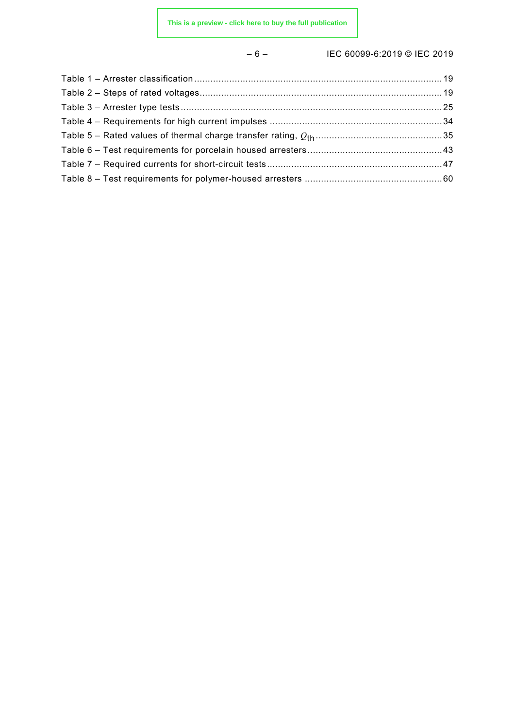### – 6 – IEC 60099-6:2019 © IEC 2019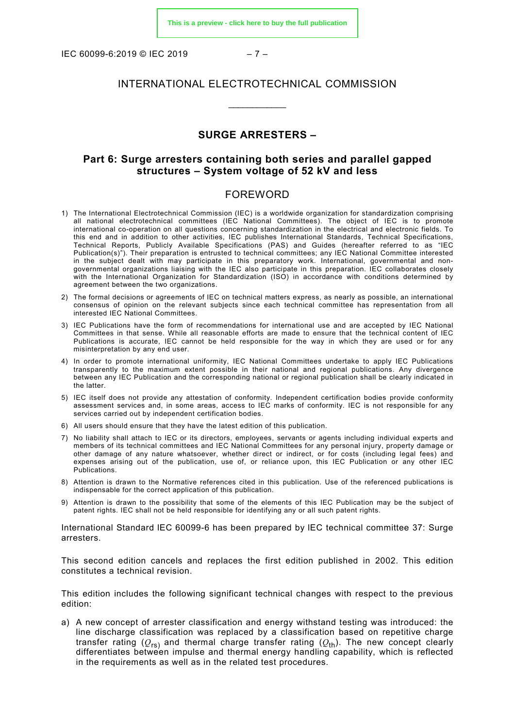IEC 60099-6:2019 © IEC 2019 – 7 –

#### INTERNATIONAL ELECTROTECHNICAL COMMISSION

\_\_\_\_\_\_\_\_\_\_\_\_

#### **SURGE ARRESTERS –**

#### **Part 6: Surge arresters containing both series and parallel gapped structures – System voltage of 52 kV and less**

#### FOREWORD

- <span id="page-6-0"></span>1) The International Electrotechnical Commission (IEC) is a worldwide organization for standardization comprising all national electrotechnical committees (IEC National Committees). The object of IEC is to promote international co-operation on all questions concerning standardization in the electrical and electronic fields. To this end and in addition to other activities, IEC publishes International Standards, Technical Specifications, Technical Reports, Publicly Available Specifications (PAS) and Guides (hereafter referred to as "IEC Publication(s)"). Their preparation is entrusted to technical committees; any IEC National Committee interested in the subject dealt with may participate in this preparatory work. International, governmental and nongovernmental organizations liaising with the IEC also participate in this preparation. IEC collaborates closely with the International Organization for Standardization (ISO) in accordance with conditions determined by agreement between the two organizations.
- 2) The formal decisions or agreements of IEC on technical matters express, as nearly as possible, an international consensus of opinion on the relevant subjects since each technical committee has representation from all interested IEC National Committees.
- 3) IEC Publications have the form of recommendations for international use and are accepted by IEC National Committees in that sense. While all reasonable efforts are made to ensure that the technical content of IEC Publications is accurate, IEC cannot be held responsible for the way in which they are used or for any misinterpretation by any end user.
- 4) In order to promote international uniformity, IEC National Committees undertake to apply IEC Publications transparently to the maximum extent possible in their national and regional publications. Any divergence between any IEC Publication and the corresponding national or regional publication shall be clearly indicated in the latter.
- 5) IEC itself does not provide any attestation of conformity. Independent certification bodies provide conformity assessment services and, in some areas, access to IEC marks of conformity. IEC is not responsible for any services carried out by independent certification bodies.
- 6) All users should ensure that they have the latest edition of this publication.
- 7) No liability shall attach to IEC or its directors, employees, servants or agents including individual experts and members of its technical committees and IEC National Committees for any personal injury, property damage or other damage of any nature whatsoever, whether direct or indirect, or for costs (including legal fees) and expenses arising out of the publication, use of, or reliance upon, this IEC Publication or any other IEC Publications.
- 8) Attention is drawn to the Normative references cited in this publication. Use of the referenced publications is indispensable for the correct application of this publication.
- 9) Attention is drawn to the possibility that some of the elements of this IEC Publication may be the subject of patent rights. IEC shall not be held responsible for identifying any or all such patent rights.

International Standard lEC 60099-6 has been prepared by lEC technical committee 37: Surge arresters.

This second edition cancels and replaces the first edition published in 2002. This edition constitutes a technical revision.

This edition includes the following significant technical changes with respect to the previous edition:

a) A new concept of arrester classification and energy withstand testing was introduced: the line discharge classification was replaced by a classification based on repetitive charge transfer rating  $(Q_{rs})$  and thermal charge transfer rating  $(Q_{th})$ . The new concept clearly differentiates between impulse and thermal energy handling capability, which is reflected in the requirements as well as in the related test procedures.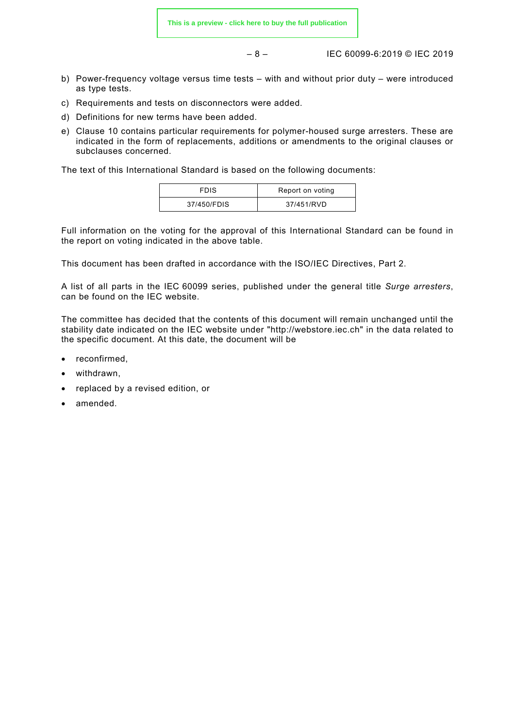– 8 – IEC 60099-6:2019 © IEC 2019

- b) Power-frequency voltage versus time tests with and without prior duty were introduced as type tests.
- c) Requirements and tests on disconnectors were added.
- d) Definitions for new terms have been added.
- e) Clause 10 contains particular requirements for polymer-housed surge arresters. These are indicated in the form of replacements, additions or amendments to the original clauses or subclauses concerned.

The text of this International Standard is based on the following documents:

| <b>FDIS</b> | Report on voting |
|-------------|------------------|
| 37/450/FDIS | 37/451/RVD       |

Full information on the voting for the approval of this International Standard can be found in the report on voting indicated in the above table.

This document has been drafted in accordance with the ISO/IEC Directives, Part 2.

A list of all parts in the IEC 60099 series, published under the general title *Surge arresters*, can be found on the IEC website.

The committee has decided that the contents of this document will remain unchanged until the stability date indicated on the IEC website under ["http://webstore.iec.ch"](http://webstore.iec.ch/) in the data related to the specific document. At this date, the document will be

- reconfirmed,
- withdrawn,
- replaced by a revised edition, or
- amended.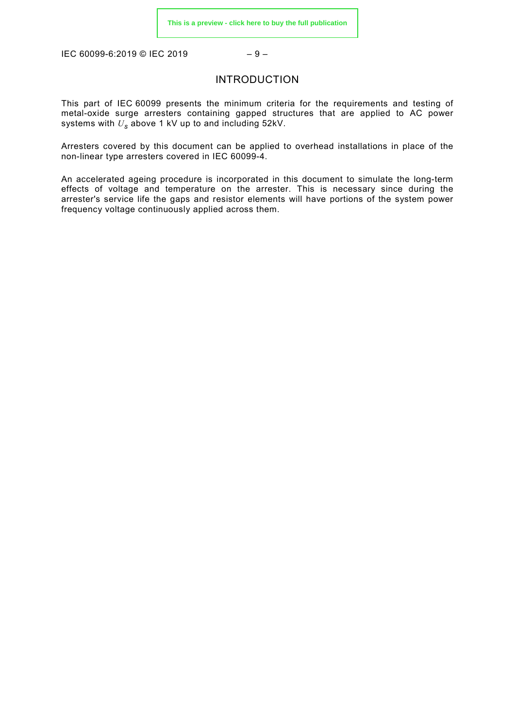<span id="page-8-0"></span>IEC 60099-6:2019 © IEC 2019 – 9 –

#### INTRODUCTION

This part of IEC 60099 presents the minimum criteria for the requirements and testing of metal-oxide surge arresters containing gapped structures that are applied to AC power systems with *U<sup>s</sup>* above 1 kV up to and including 52kV.

Arresters covered by this document can be applied to overhead installations in place of the non-linear type arresters covered in IEC 60099-4.

An accelerated ageing procedure is incorporated in this document to simulate the long-term effects of voltage and temperature on the arrester. This is necessary since during the arrester's service life the gaps and resistor elements will have portions of the system power frequency voltage continuously applied across them.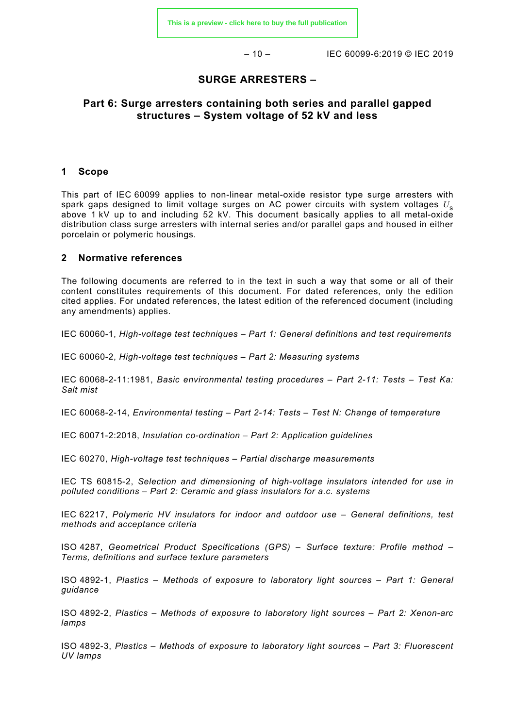$-10 -$  IEC 60099-6:2019 © IEC 2019

#### **SURGE ARRESTERS –**

#### **Part 6: Surge arresters containing both series and parallel gapped structures – System voltage of 52 kV and less**

#### <span id="page-9-0"></span>**1 Scope**

This part of IEC 60099 applies to non-linear metal-oxide resistor type surge arresters with spark gaps designed to limit voltage surges on AC power circuits with system voltages *U*<sup>s</sup> above 1 kV up to and including 52 kV. This document basically applies to all metal-oxide distribution class surge arresters with internal series and/or parallel gaps and housed in either porcelain or polymeric housings.

#### <span id="page-9-1"></span>**2 Normative references**

The following documents are referred to in the text in such a way that some or all of their content constitutes requirements of this document. For dated references, only the edition cited applies. For undated references, the latest edition of the referenced document (including any amendments) applies.

IEC 60060-1, *High-voltage test techniques – Part 1: General definitions and test requirements*

IEC 60060-2, *High-voltage test techniques – Part 2: Measuring systems*

IEC 60068-2-11:1981, *Basic environmental testing procedures – Part 2-11: Tests – Test Ka: Salt mist*

IEC 60068-2-14, *Environmental testing – Part 2-14: Tests – Test N: Change of temperature*

IEC 60071-2:2018, *Insulation co-ordination – Part 2: Application guidelines*

IEC 60270, *High-voltage test techniques – Partial discharge measurements*

IEC TS 60815-2, *Selection and dimensioning of high-voltage insulators intended for use in polluted conditions – Part 2: Ceramic and glass insulators for a.c. systems*

IEC 62217, *Polymeric HV insulators for indoor and outdoor use – General definitions, test methods and acceptance criteria*

ISO 4287, *Geometrical Product Specifications (GPS) – Surface texture: Profile method – Terms, definitions and surface texture parameters*

ISO 4892-1, *Plastics – Methods of exposure to laboratory light sources – Part 1: General guidance*

ISO 4892-2, *Plastics – Methods of exposure to laboratory light sources – Part 2: Xenon-arc lamps*

ISO 4892-3, *Plastics – Methods of exposure to laboratory light sources – Part 3: Fluorescent UV lamps*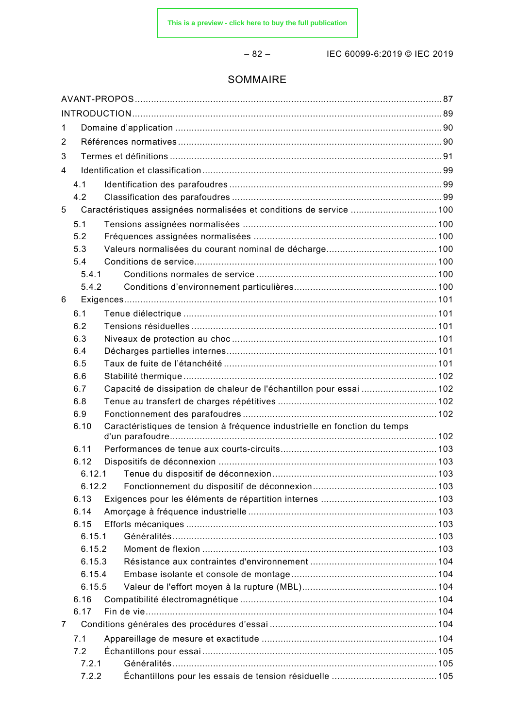– 82 – IEC 60099-6:2019 © IEC 2019

#### SOMMAIRE

| 1 |              |                                                                           |  |
|---|--------------|---------------------------------------------------------------------------|--|
| 2 |              |                                                                           |  |
| 3 |              |                                                                           |  |
| 4 |              |                                                                           |  |
|   | 4.1          |                                                                           |  |
|   | 4.2          |                                                                           |  |
| 5 |              | Caractéristiques assignées normalisées et conditions de service  100      |  |
|   | 5.1          |                                                                           |  |
|   | 5.2          |                                                                           |  |
|   | 5.3          |                                                                           |  |
|   | 5.4          |                                                                           |  |
|   | 5.4.1        |                                                                           |  |
|   | 5.4.2        |                                                                           |  |
| 6 |              |                                                                           |  |
|   | 6.1          |                                                                           |  |
|   | 6.2          |                                                                           |  |
|   | 6.3          |                                                                           |  |
|   | 6.4          |                                                                           |  |
|   | 6.5          |                                                                           |  |
|   | 6.6          |                                                                           |  |
|   | 6.7          | Capacité de dissipation de chaleur de l'échantillon pour essai  102       |  |
|   | 6.8          |                                                                           |  |
|   | 6.9          |                                                                           |  |
|   | 6.10         | Caractéristiques de tension à fréquence industrielle en fonction du temps |  |
|   | 6.11         |                                                                           |  |
|   | 6.12         |                                                                           |  |
|   | 6.12.1       |                                                                           |  |
|   | 6.12.2       |                                                                           |  |
|   | 6.13         |                                                                           |  |
|   | 6.14         |                                                                           |  |
|   | 6.15         |                                                                           |  |
|   | 6.15.1       |                                                                           |  |
|   | 6.15.2       |                                                                           |  |
|   | 6.15.3       |                                                                           |  |
|   | 6.15.4       |                                                                           |  |
|   | 6.15.5       |                                                                           |  |
|   | 6.16         |                                                                           |  |
|   | 6.17         |                                                                           |  |
| 7 |              |                                                                           |  |
|   | 7.1          |                                                                           |  |
|   | 7.2<br>7.2.1 |                                                                           |  |
|   | 7.2.2        |                                                                           |  |
|   |              |                                                                           |  |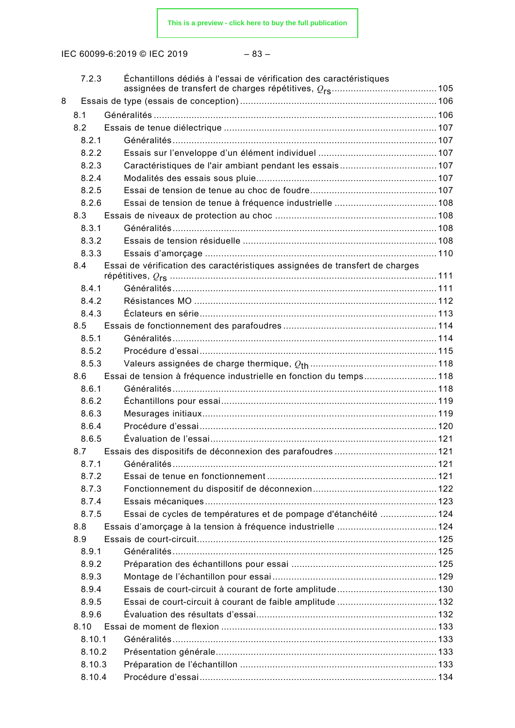| w<br>۰.<br>٠ |
|--------------|
|--------------|

|   | 7.2.3  | Échantillons dédiés à l'essai de vérification des caractéristiques           |  |
|---|--------|------------------------------------------------------------------------------|--|
| 8 |        |                                                                              |  |
|   | 8.1    |                                                                              |  |
|   | 8.2    |                                                                              |  |
|   | 8.2.1  |                                                                              |  |
|   | 8.2.2  |                                                                              |  |
|   | 8.2.3  |                                                                              |  |
|   | 8.2.4  |                                                                              |  |
|   | 8.2.5  |                                                                              |  |
|   | 8.2.6  |                                                                              |  |
|   | 8.3    |                                                                              |  |
|   | 8.3.1  |                                                                              |  |
|   | 8.3.2  |                                                                              |  |
|   | 8.3.3  |                                                                              |  |
|   | 8.4    | Essai de vérification des caractéristiques assignées de transfert de charges |  |
|   |        |                                                                              |  |
|   | 8.4.1  |                                                                              |  |
|   | 8.4.2  |                                                                              |  |
|   | 8.4.3  |                                                                              |  |
|   | 8.5    |                                                                              |  |
|   | 8.5.1  |                                                                              |  |
|   | 8.5.2  |                                                                              |  |
|   | 8.5.3  |                                                                              |  |
|   | 8.6    | Essai de tension à fréquence industrielle en fonction du temps 118           |  |
|   | 8.6.1  |                                                                              |  |
|   | 8.6.2  |                                                                              |  |
|   | 8.6.3  |                                                                              |  |
|   | 8.6.4  |                                                                              |  |
|   | 8.6.5  |                                                                              |  |
|   | 8.7    |                                                                              |  |
|   | 8.7.1  |                                                                              |  |
|   | 8.7.2  |                                                                              |  |
|   | 8.7.3  |                                                                              |  |
|   | 8.7.4  |                                                                              |  |
|   | 8.7.5  | Essai de cycles de températures et de pompage d'étanchéité  124              |  |
|   | 8.8    |                                                                              |  |
|   | 8.9    |                                                                              |  |
|   | 8.9.1  |                                                                              |  |
|   | 8.9.2  |                                                                              |  |
|   | 8.9.3  |                                                                              |  |
|   | 8.9.4  |                                                                              |  |
|   | 8.9.5  |                                                                              |  |
|   | 8.9.6  |                                                                              |  |
|   | 8.10   |                                                                              |  |
|   | 8.10.1 |                                                                              |  |
|   | 8.10.2 |                                                                              |  |
|   | 8.10.3 |                                                                              |  |
|   | 8.10.4 |                                                                              |  |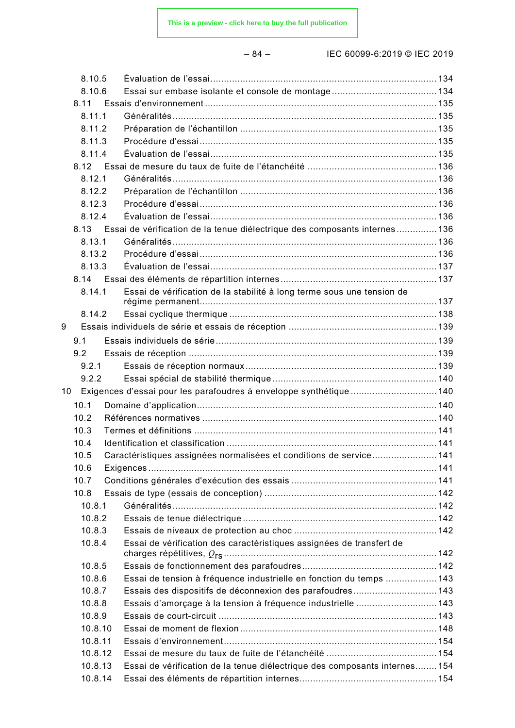– 84 – IEC 60099-6:2019 © IEC 2019

|    | 8.10.5  |                                                                            |  |
|----|---------|----------------------------------------------------------------------------|--|
|    | 8.10.6  |                                                                            |  |
|    | 8.11    |                                                                            |  |
|    | 8.11.1  |                                                                            |  |
|    | 8.11.2  |                                                                            |  |
|    | 8.11.3  |                                                                            |  |
|    | 8.11.4  |                                                                            |  |
|    | 8.12    |                                                                            |  |
|    | 8.12.1  |                                                                            |  |
|    | 8.12.2  |                                                                            |  |
|    | 8.12.3  |                                                                            |  |
|    | 8.12.4  |                                                                            |  |
|    | 8.13    | Essai de vérification de la tenue diélectrique des composants internes136  |  |
|    | 8.13.1  |                                                                            |  |
|    | 8.13.2  |                                                                            |  |
|    | 8.13.3  |                                                                            |  |
|    |         |                                                                            |  |
|    | 8.14.1  | Essai de vérification de la stabilité à long terme sous une tension de     |  |
|    |         |                                                                            |  |
|    | 8.14.2  |                                                                            |  |
| 9  |         |                                                                            |  |
|    | 9.1     |                                                                            |  |
|    | 9.2     |                                                                            |  |
|    | 9.2.1   |                                                                            |  |
|    | 9.2.2   |                                                                            |  |
| 10 |         | Exigences d'essai pour les parafoudres à enveloppe synthétique140          |  |
|    | 10.1    |                                                                            |  |
|    | 10.2    |                                                                            |  |
|    | 10.3    |                                                                            |  |
|    | 10.4    |                                                                            |  |
|    | 10.5    | Caractéristiques assignées normalisées et conditions de service 141        |  |
|    | 10.6    |                                                                            |  |
|    | 10.7    |                                                                            |  |
|    | 10.8    |                                                                            |  |
|    | 10.8.1  |                                                                            |  |
|    | 10.8.2  |                                                                            |  |
|    | 10.8.3  |                                                                            |  |
|    | 10.8.4  | Essai de vérification des caractéristiques assignées de transfert de       |  |
|    | 10.8.5  |                                                                            |  |
|    | 10.8.6  | Essai de tension à fréquence industrielle en fonction du temps  143        |  |
|    | 10.8.7  | Essais des dispositifs de déconnexion des parafoudres 143                  |  |
|    | 10.8.8  | Essais d'amorçage à la tension à fréquence industrielle  143               |  |
|    | 10.8.9  |                                                                            |  |
|    | 10.8.10 |                                                                            |  |
|    | 10.8.11 |                                                                            |  |
|    | 10.8.12 |                                                                            |  |
|    | 10.8.13 | Essai de vérification de la tenue diélectrique des composants internes 154 |  |
|    | 10.8.14 |                                                                            |  |
|    |         |                                                                            |  |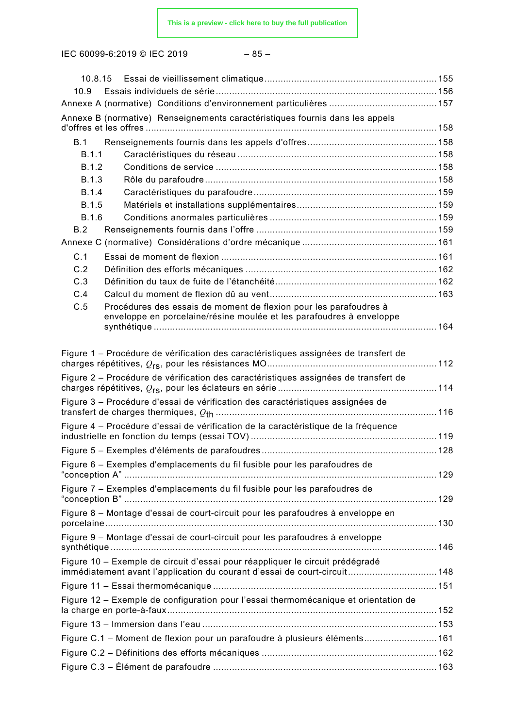IEC 60099-6:2019 © IEC 2019 – 85 –

| 10.9         |                                                                                                                                           |  |
|--------------|-------------------------------------------------------------------------------------------------------------------------------------------|--|
|              |                                                                                                                                           |  |
|              | Annexe B (normative) Renseignements caractéristiques fournis dans les appels                                                              |  |
| B.1          |                                                                                                                                           |  |
| B.1.1        |                                                                                                                                           |  |
| B.1.2        |                                                                                                                                           |  |
| B.1.3        |                                                                                                                                           |  |
| B.1.4        |                                                                                                                                           |  |
| <b>B.1.5</b> |                                                                                                                                           |  |
| B.1.6        |                                                                                                                                           |  |
| B.2          |                                                                                                                                           |  |
|              |                                                                                                                                           |  |
| C.1          |                                                                                                                                           |  |
| C.2          |                                                                                                                                           |  |
| C.3          |                                                                                                                                           |  |
| C.4          |                                                                                                                                           |  |
| C.5          | Procédures des essais de moment de flexion pour les parafoudres à<br>enveloppe en porcelaine/résine moulée et les parafoudres à enveloppe |  |
|              |                                                                                                                                           |  |
|              |                                                                                                                                           |  |
|              | Figure 1 - Procédure de vérification des caractéristiques assignées de transfert de                                                       |  |
|              |                                                                                                                                           |  |
|              | Figure 2 – Procédure de vérification des caractéristiques assignées de transfert de                                                       |  |
|              | Figure 3 – Procédure d'essai de vérification des caractéristiques assignées de                                                            |  |
|              | Figure 4 – Procédure d'essai de vérification de la caractéristique de la fréquence                                                        |  |
|              |                                                                                                                                           |  |
|              | Figure 6 – Exemples d'emplacements du fil fusible pour les parafoudres de                                                                 |  |
|              |                                                                                                                                           |  |
|              | Figure 7 - Exemples d'emplacements du fil fusible pour les parafoudres de                                                                 |  |
|              | Figure 8 - Montage d'essai de court-circuit pour les parafoudres à enveloppe en                                                           |  |
|              |                                                                                                                                           |  |
|              | Figure 9 – Montage d'essai de court-circuit pour les parafoudres à enveloppe                                                              |  |
|              | Figure 10 - Exemple de circuit d'essai pour réappliquer le circuit prédégradé                                                             |  |
|              | immédiatement avant l'application du courant d'essai de court-circuit 148                                                                 |  |
|              |                                                                                                                                           |  |
|              | Figure 12 - Exemple de configuration pour l'essai thermomécanique et orientation de                                                       |  |
|              |                                                                                                                                           |  |
|              | Figure C.1 - Moment de flexion pour un parafoudre à plusieurs éléments 161                                                                |  |
|              |                                                                                                                                           |  |
|              |                                                                                                                                           |  |
|              | Figure C.3 – Élément de parafoudre ……………………………………………………………………………………163                                                                    |  |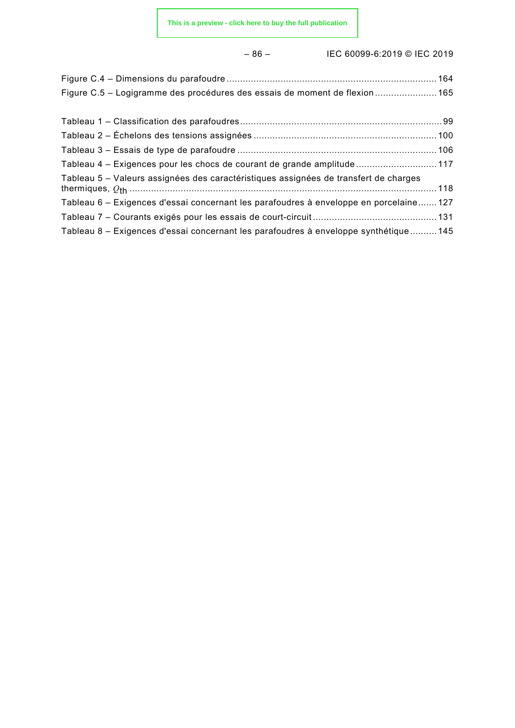### – 86 – IEC 60099-6:2019 © IEC 2019

| Figure C.5 – Logigramme des procédures des essais de moment de flexion  165 |  |
|-----------------------------------------------------------------------------|--|
|                                                                             |  |

| Tableau 4 – Exigences pour les chocs de courant de grande amplitude  117               |  |
|----------------------------------------------------------------------------------------|--|
| Tableau 5 – Valeurs assignées des caractéristiques assignées de transfert de charges   |  |
| Tableau 6 – Exigences d'essai concernant les parafoudres à enveloppe en porcelaine 127 |  |
|                                                                                        |  |
| Tableau 8 – Exigences d'essai concernant les parafoudres à enveloppe synthétique  145  |  |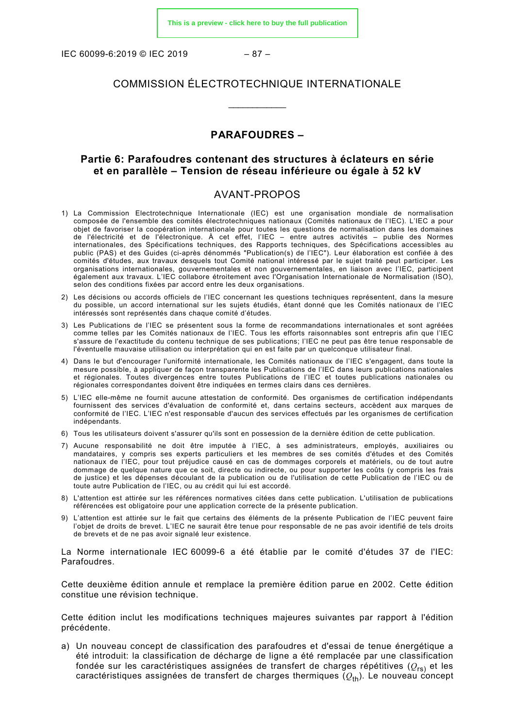IEC 60099-6:2019 © IEC 2019 – 87 –

#### COMMISSION ÉLECTROTECHNIQUE INTERNATIONALE

\_\_\_\_\_\_\_\_\_\_\_\_

#### **PARAFOUDRES –**

#### **Partie 6: Parafoudres contenant des structures à éclateurs en série et en parallèle – Tension de réseau inférieure ou égale à 52 kV**

#### AVANT-PROPOS

- <span id="page-15-0"></span>1) La Commission Electrotechnique Internationale (IEC) est une organisation mondiale de normalisation composée de l'ensemble des comités électrotechniques nationaux (Comités nationaux de l'IEC). L'IEC a pour objet de favoriser la coopération internationale pour toutes les questions de normalisation dans les domaines de l'électricité et de l'électronique. À cet effet, l'IEC – entre autres activités – publie des Normes internationales, des Spécifications techniques, des Rapports techniques, des Spécifications accessibles au public (PAS) et des Guides (ci-après dénommés "Publication(s) de l'IEC"). Leur élaboration est confiée à des comités d'études, aux travaux desquels tout Comité national intéressé par le sujet traité peut participer. Les organisations internationales, gouvernementales et non gouvernementales, en liaison avec l'IEC, participent également aux travaux. L'IEC collabore étroitement avec l'Organisation Internationale de Normalisation (ISO), selon des conditions fixées par accord entre les deux organisations.
- 2) Les décisions ou accords officiels de l'IEC concernant les questions techniques représentent, dans la mesure du possible, un accord international sur les sujets étudiés, étant donné que les Comités nationaux de l'IEC intéressés sont représentés dans chaque comité d'études.
- 3) Les Publications de l'IEC se présentent sous la forme de recommandations internationales et sont agréées comme telles par les Comités nationaux de l'IEC. Tous les efforts raisonnables sont entrepris afin que l'IEC s'assure de l'exactitude du contenu technique de ses publications; l'IEC ne peut pas être tenue responsable de l'éventuelle mauvaise utilisation ou interprétation qui en est faite par un quelconque utilisateur final.
- 4) Dans le but d'encourager l'uniformité internationale, les Comités nationaux de l'IEC s'engagent, dans toute la mesure possible, à appliquer de façon transparente les Publications de l'IEC dans leurs publications nationales et régionales. Toutes divergences entre toutes Publications de l'IEC et toutes publications nationales ou régionales correspondantes doivent être indiquées en termes clairs dans ces dernières.
- 5) L'IEC elle-même ne fournit aucune attestation de conformité. Des organismes de certification indépendants fournissent des services d'évaluation de conformité et, dans certains secteurs, accèdent aux marques de conformité de l'IEC. L'IEC n'est responsable d'aucun des services effectués par les organismes de certification indépendants.
- 6) Tous les utilisateurs doivent s'assurer qu'ils sont en possession de la dernière édition de cette publication.
- 7) Aucune responsabilité ne doit être imputée à l'IEC, à ses administrateurs, employés, auxiliaires ou mandataires, y compris ses experts particuliers et les membres de ses comités d'études et des Comités nationaux de l'IEC, pour tout préjudice causé en cas de dommages corporels et matériels, ou de tout autre dommage de quelque nature que ce soit, directe ou indirecte, ou pour supporter les coûts (y compris les frais de justice) et les dépenses découlant de la publication ou de l'utilisation de cette Publication de l'IEC ou de toute autre Publication de l'IEC, ou au crédit qui lui est accordé.
- 8) L'attention est attirée sur les références normatives citées dans cette publication. L'utilisation de publications référencées est obligatoire pour une application correcte de la présente publication.
- 9) L'attention est attirée sur le fait que certains des éléments de la présente Publication de l'IEC peuvent faire l'objet de droits de brevet. L'IEC ne saurait être tenue pour responsable de ne pas avoir identifié de tels droits de brevets et de ne pas avoir signalé leur existence.

La Norme internationale IEC 60099-6 a été établie par le comité d'études 37 de l'IEC: Parafoudres.

Cette deuxième édition annule et remplace la première édition parue en 2002. Cette édition constitue une révision technique.

Cette édition inclut les modifications techniques majeures suivantes par rapport à l'édition précédente.

a) Un nouveau concept de classification des parafoudres et d'essai de tenue énergétique a été introduit: la classification de décharge de ligne a été remplacée par une classification fondée sur les caractéristiques assignées de transfert de charges répétitives (*Q*rs) et les caractéristiques assignées de transfert de charges thermiques ( $Q_{th}$ ). Le nouveau concept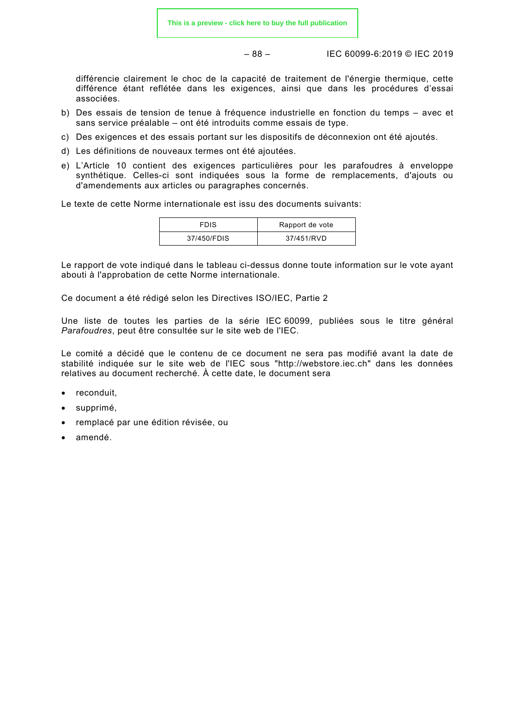– 88 – IEC 60099-6:2019 © IEC 2019

différencie clairement le choc de la capacité de traitement de l'énergie thermique, cette différence étant reflétée dans les exigences, ainsi que dans les procédures d'essai associées.

- b) Des essais de tension de tenue à fréquence industrielle en fonction du temps avec et sans service préalable – ont été introduits comme essais de type.
- c) Des exigences et des essais portant sur les dispositifs de déconnexion ont été ajoutés.
- d) Les définitions de nouveaux termes ont été ajoutées.
- e) L'Article 10 contient des exigences particulières pour les parafoudres à enveloppe synthétique. Celles-ci sont indiquées sous la forme de remplacements, d'ajouts ou d'amendements aux articles ou paragraphes concernés.

Le texte de cette Norme internationale est issu des documents suivants:

| <b>FDIS</b> | Rapport de vote |
|-------------|-----------------|
| 37/450/FDIS | 37/451/RVD      |

Le rapport de vote indiqué dans le tableau ci-dessus donne toute information sur le vote ayant abouti à l'approbation de cette Norme internationale.

Ce document a été rédigé selon les Directives ISO/IEC, Partie 2

Une liste de toutes les parties de la série IEC 60099, publiées sous le titre général *Parafoudres*, peut être consultée sur le site web de l'IEC.

Le comité a décidé que le contenu de ce document ne sera pas modifié avant la date de stabilité indiquée sur le site web de l'IEC sous "http://webstore.iec.ch" dans les données relatives au document recherché. À cette date, le document sera

- reconduit,
- supprimé,
- remplacé par une édition révisée, ou
- amendé.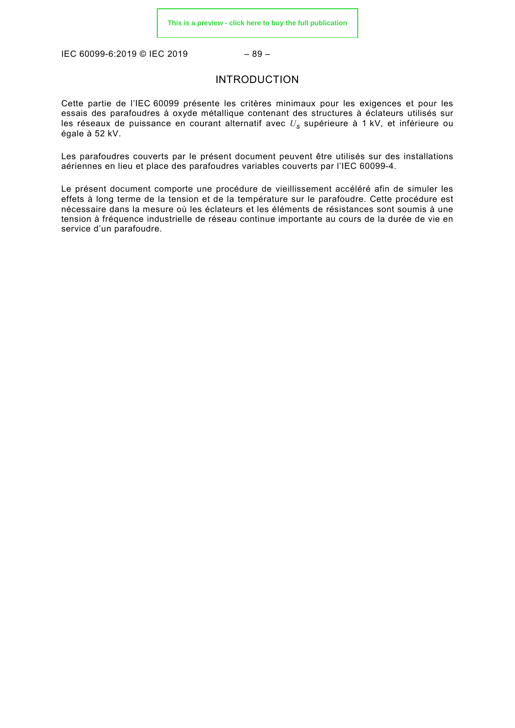<span id="page-17-0"></span>IEC 60099-6:2019 © IEC 2019 – 89 –

#### INTRODUCTION

Cette partie de l'IEC 60099 présente les critères minimaux pour les exigences et pour les essais des parafoudres à oxyde métallique contenant des structures à éclateurs utilisés sur les réseaux de puissance en courant alternatif avec *U<sup>s</sup>* supérieure à 1 kV, et inférieure ou égale à 52 kV.

Les parafoudres couverts par le présent document peuvent être utilisés sur des installations aériennes en lieu et place des parafoudres variables couverts par l'IEC 60099-4.

Le présent document comporte une procédure de vieillissement accéléré afin de simuler les effets à long terme de la tension et de la température sur le parafoudre. Cette procédure est nécessaire dans la mesure où les éclateurs et les éléments de résistances sont soumis à une tension à fréquence industrielle de réseau continue importante au cours de la durée de vie en service d'un parafoudre.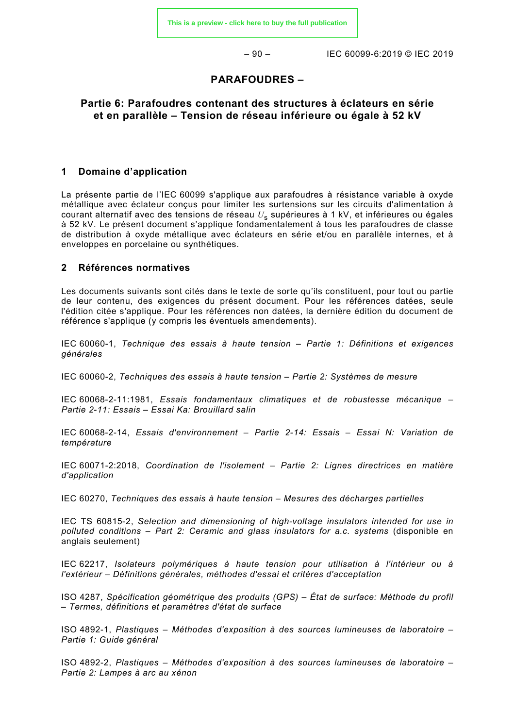– 90 – IEC 60099-6:2019 © IEC 2019

#### **PARAFOUDRES –**

#### **Partie 6: Parafoudres contenant des structures à éclateurs en série et en parallèle – Tension de réseau inférieure ou égale à 52 kV**

#### <span id="page-18-0"></span>**1 Domaine d'application**

La présente partie de l'IEC 60099 s'applique aux parafoudres à résistance variable à oxyde métallique avec éclateur conçus pour limiter les surtensions sur les circuits d'alimentation à courant alternatif avec des tensions de réseau *U*<sup>s</sup> supérieures à 1 kV, et inférieures ou égales à 52 kV. Le présent document s'applique fondamentalement à tous les parafoudres de classe de distribution à oxyde métallique avec éclateurs en série et/ou en parallèle internes, et à enveloppes en porcelaine ou synthétiques.

#### <span id="page-18-1"></span>**2 Références normatives**

Les documents suivants sont cités dans le texte de sorte qu'ils constituent, pour tout ou partie de leur contenu, des exigences du présent document. Pour les références datées, seule l'édition citée s'applique. Pour les références non datées, la dernière édition du document de référence s'applique (y compris les éventuels amendements).

IEC 60060-1, *Technique des essais à haute tension – Partie 1: Définitions et exigences générales*

IEC 60060-2, *Techniques des essais à haute tension – Partie 2: Systèmes de mesure*

IEC 60068-2-11:1981, *Essais fondamentaux climatiques et de robustesse mécanique – Partie 2-11: Essais – Essai Ka: Brouillard salin*

IEC 60068-2-14, *Essais d'environnement – Partie 2-14: Essais – Essai N: Variation de température*

IEC 60071-2:2018, *Coordination de l'isolement – Partie 2: Lignes directrices en matière d'application*

IEC 60270, *Techniques des essais à haute tension – Mesures des décharges partielles*

IEC TS 60815-2, *Selection and dimensioning of high-voltage insulators intended for use in polluted conditions – Part 2: Ceramic and glass insulators for a.c. systems* (disponible en anglais seulement)

IEC 62217, *Isolateurs polymériques à haute tension pour utilisation à l'intérieur ou à l'extérieur – Définitions générales, méthodes d'essai et critères d'acceptation*

ISO 4287, *Spécification géométrique des produits (GPS) – État de surface: Méthode du profil – Termes, définitions et paramètres d'état de surface*

ISO 4892-1, *Plastiques – Méthodes d'exposition à des sources lumineuses de laboratoire – Partie 1: Guide général*

ISO 4892-2, *Plastiques – Méthodes d'exposition à des sources lumineuses de laboratoire – Partie 2: Lampes à arc au xénon*